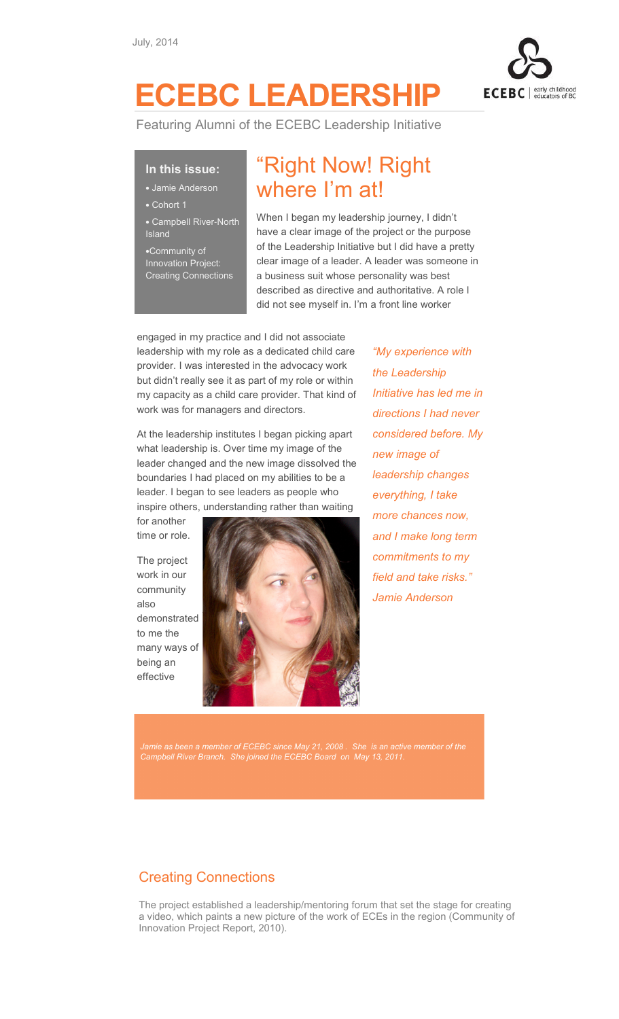

# ECEBC LEADERSHIP

Featuring Alumni of the ECEBC Leadership Initiative

### In this issue:

- Jamie Anderson
- Cohort 1
- Campbell River-North Island
- •Community of Innovation Project: Creating Connections

## "Right Now! Right where I'm at!

When I began my leadership journey, I didn't have a clear image of the project or the purpose of the Leadership Initiative but I did have a pretty clear image of a leader. A leader was someone in a business suit whose personality was best described as directive and authoritative. A role I did not see myself in. I'm a front line worker

engaged in my practice and I did not associate leadership with my role as a dedicated child care provider. I was interested in the advocacy work but didn't really see it as part of my role or within my capacity as a child care provider. That kind of work was for managers and directors.

At the leadership institutes I began picking apart what leadership is. Over time my image of the leader changed and the new image dissolved the boundaries I had placed on my abilities to be a leader. I began to see leaders as people who inspire others, understanding rather than waiting

for another time or role.

The project work in our community also demonstrated to me the many ways of being an effective



"My experience with the Leadership Initiative has led me in directions I had never considered before. My new image of leadership changes everything, I take more chances now, and I make long term commitments to my field and take risks." Jamie Anderson

Jamie as been a member of ECEBC since May 21, 2008 . She is an active member of the Campbell River Branch. She joined the ECEBC Board on May 13, 2011.

### Creating Connections

The project established a leadership/mentoring forum that set the stage for creating a video, which paints a new picture of the work of ECEs in the region (Community of Innovation Project Report, 2010).